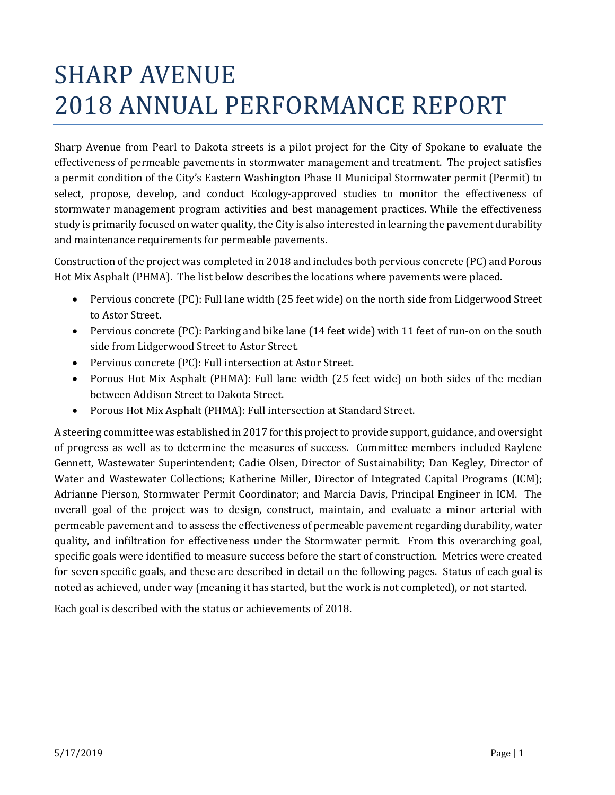# SHARP AVENUE 2018 ANNUAL PERFORMANCE REPORT

Sharp Avenue from Pearl to Dakota streets is a pilot project for the City of Spokane to evaluate the effectiveness of permeable pavements in stormwater management and treatment. The project satisfies a permit condition of the City's Eastern Washington Phase II Municipal Stormwater permit (Permit) to select, propose, develop, and conduct Ecology-approved studies to monitor the effectiveness of stormwater management program activities and best management practices. While the effectiveness study is primarily focused on water quality, the City is also interested in learning the pavement durability and maintenance requirements for permeable pavements.

Construction of the project was completed in 2018 and includes both pervious concrete (PC) and Porous Hot Mix Asphalt (PHMA). The list below describes the locations where pavements were placed.

- Pervious concrete (PC): Full lane width (25 feet wide) on the north side from Lidgerwood Street to Astor Street.
- Pervious concrete (PC): Parking and bike lane (14 feet wide) with 11 feet of run-on on the south side from Lidgerwood Street to Astor Street.
- Pervious concrete (PC): Full intersection at Astor Street.
- Porous Hot Mix Asphalt (PHMA): Full lane width (25 feet wide) on both sides of the median between Addison Street to Dakota Street.
- Porous Hot Mix Asphalt (PHMA): Full intersection at Standard Street.

A steering committee was established in 2017 for this project to provide support, guidance, and oversight of progress as well as to determine the measures of success. Committee members included Raylene Gennett, Wastewater Superintendent; Cadie Olsen, Director of Sustainability; Dan Kegley, Director of Water and Wastewater Collections; Katherine Miller, Director of Integrated Capital Programs (ICM); Adrianne Pierson, Stormwater Permit Coordinator; and Marcia Davis, Principal Engineer in ICM. The overall goal of the project was to design, construct, maintain, and evaluate a minor arterial with permeable pavement and to assess the effectiveness of permeable pavement regarding durability, water quality, and infiltration for effectiveness under the Stormwater permit. From this overarching goal, specific goals were identified to measure success before the start of construction. Metrics were created for seven specific goals, and these are described in detail on the following pages. Status of each goal is noted as achieved, under way (meaning it has started, but the work is not completed), or not started.

Each goal is described with the status or achievements of 2018.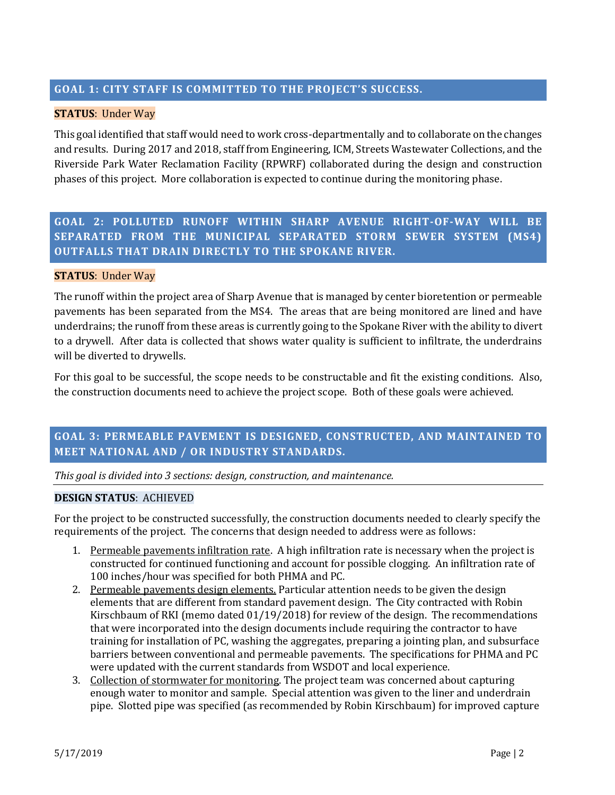# **GOAL 1: CITY STAFF IS COMMITTED TO THE PROJECT'S SUCCESS.**

# **STATUS**: Under Way

This goal identified that staff would need to work cross-departmentally and to collaborate on the changes and results. During 2017 and 2018, staff from Engineering, ICM, Streets Wastewater Collections, and the Riverside Park Water Reclamation Facility (RPWRF) collaborated during the design and construction phases of this project. More collaboration is expected to continue during the monitoring phase.

**GOAL 2: POLLUTED RUNOFF WITHIN SHARP AVENUE RIGHT-OF-WAY WILL BE SEPARATED FROM THE MUNICIPAL SEPARATED STORM SEWER SYSTEM (MS4) OUTFALLS THAT DRAIN DIRECTLY TO THE SPOKANE RIVER.**

# **STATUS**: Under Way

The runoff within the project area of Sharp Avenue that is managed by center bioretention or permeable pavements has been separated from the MS4. The areas that are being monitored are lined and have underdrains; the runoff from these areas is currently going to the Spokane River with the ability to divert to a drywell. After data is collected that shows water quality is sufficient to infiltrate, the underdrains will be diverted to drywells.

For this goal to be successful, the scope needs to be constructable and fit the existing conditions. Also, the construction documents need to achieve the project scope. Both of these goals were achieved.

# **GOAL 3: PERMEABLE PAVEMENT IS DESIGNED, CONSTRUCTED, AND MAINTAINED TO MEET NATIONAL AND / OR INDUSTRY STANDARDS.**

*This goal is divided into 3 sections: design, construction, and maintenance.* 

#### **DESIGN STATUS**: ACHIEVED

For the project to be constructed successfully, the construction documents needed to clearly specify the requirements of the project. The concerns that design needed to address were as follows:

- 1. Permeable pavements infiltration rate. A high infiltration rate is necessary when the project is constructed for continued functioning and account for possible clogging. An infiltration rate of 100 inches/hour was specified for both PHMA and PC.
- 2. Permeable pavements design elements. Particular attention needs to be given the design elements that are different from standard pavement design. The City contracted with Robin Kirschbaum of RKI (memo dated 01/19/2018) for review of the design. The recommendations that were incorporated into the design documents include requiring the contractor to have training for installation of PC, washing the aggregates, preparing a jointing plan, and subsurface barriers between conventional and permeable pavements. The specifications for PHMA and PC were updated with the current standards from WSDOT and local experience.
- 3. Collection of stormwater for monitoring. The project team was concerned about capturing enough water to monitor and sample. Special attention was given to the liner and underdrain pipe. Slotted pipe was specified (as recommended by Robin Kirschbaum) for improved capture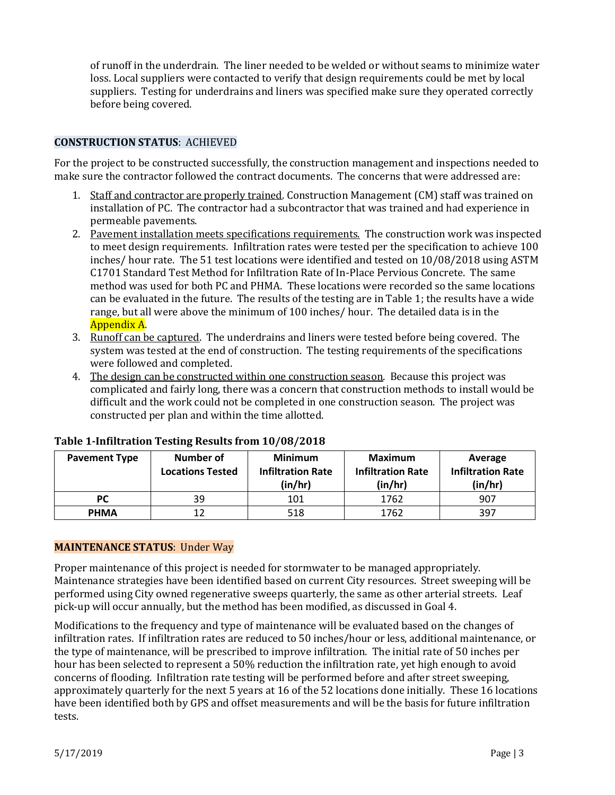of runoff in the underdrain. The liner needed to be welded or without seams to minimize water loss. Local suppliers were contacted to verify that design requirements could be met by local suppliers. Testing for underdrains and liners was specified make sure they operated correctly before being covered.

### **CONSTRUCTION STATUS**: ACHIEVED

For the project to be constructed successfully, the construction management and inspections needed to make sure the contractor followed the contract documents. The concerns that were addressed are:

- 1. Staff and contractor are properly trained. Construction Management (CM) staff was trained on installation of PC. The contractor had a subcontractor that was trained and had experience in permeable pavements.
- 2. Pavement installation meets specifications requirements. The construction work was inspected to meet design requirements. Infiltration rates were tested per the specification to achieve 100 inches/ hour rate. The 51 test locations were identified and tested on 10/08/2018 using ASTM C1701 Standard Test Method for Infiltration Rate of In-Place Pervious Concrete. The same method was used for both PC and PHMA. These locations were recorded so the same locations can be evaluated in the future. The results of the testing are in Table 1; the results have a wide range, but all were above the minimum of 100 inches/ hour. The detailed data is in the Appendix A.
- 3. Runoff can be captured. The underdrains and liners were tested before being covered. The system was tested at the end of construction. The testing requirements of the specifications were followed and completed.
- 4. The design can be constructed within one construction season. Because this project was complicated and fairly long, there was a concern that construction methods to install would be difficult and the work could not be completed in one construction season. The project was constructed per plan and within the time allotted.

| <b>Pavement Type</b> | Number of<br><b>Locations Tested</b> | <b>Minimum</b><br><b>Infiltration Rate</b><br>(in/hr) | Maximum<br><b>Infiltration Rate</b><br>(in/hr) | Average<br><b>Infiltration Rate</b><br>(in/hr) |
|----------------------|--------------------------------------|-------------------------------------------------------|------------------------------------------------|------------------------------------------------|
| РC                   | 39                                   | 101                                                   | 1762                                           | 907                                            |
| <b>PHMA</b>          | 12                                   | 518                                                   | 1762                                           | 397                                            |

# **Table 1-Infiltration Testing Results from 10/08/2018**

#### **MAINTENANCE STATUS**: Under Way

Proper maintenance of this project is needed for stormwater to be managed appropriately. Maintenance strategies have been identified based on current City resources. Street sweeping will be performed using City owned regenerative sweeps quarterly, the same as other arterial streets. Leaf pick-up will occur annually, but the method has been modified, as discussed in Goal 4.

Modifications to the frequency and type of maintenance will be evaluated based on the changes of infiltration rates. If infiltration rates are reduced to 50 inches/hour or less, additional maintenance, or the type of maintenance, will be prescribed to improve infiltration. The initial rate of 50 inches per hour has been selected to represent a 50% reduction the infiltration rate, yet high enough to avoid concerns of flooding. Infiltration rate testing will be performed before and after street sweeping, approximately quarterly for the next 5 years at 16 of the 52 locations done initially. These 16 locations have been identified both by GPS and offset measurements and will be the basis for future infiltration tests.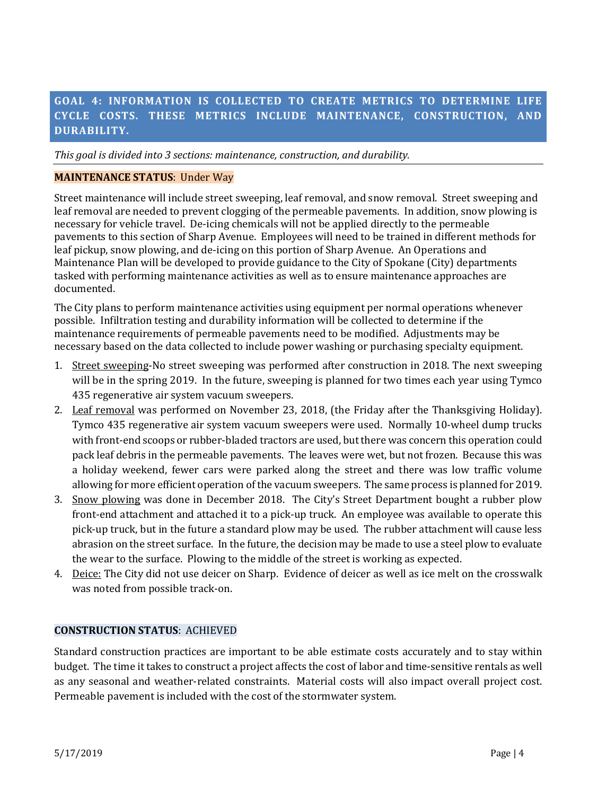# **GOAL 4: INFORMATION IS COLLECTED TO CREATE METRICS TO DETERMINE LIFE CYCLE COSTS. THESE METRICS INCLUDE MAINTENANCE, CONSTRUCTION, AND DURABILITY.**

*This goal is divided into 3 sections: maintenance, construction, and durability.* 

#### **MAINTENANCE STATUS**: Under Way

Street maintenance will include street sweeping, leaf removal, and snow removal. Street sweeping and leaf removal are needed to prevent clogging of the permeable pavements. In addition, snow plowing is necessary for vehicle travel. De-icing chemicals will not be applied directly to the permeable pavements to this section of Sharp Avenue. Employees will need to be trained in different methods for leaf pickup, snow plowing, and de-icing on this portion of Sharp Avenue. An Operations and Maintenance Plan will be developed to provide guidance to the City of Spokane (City) departments tasked with performing maintenance activities as well as to ensure maintenance approaches are documented.

The City plans to perform maintenance activities using equipment per normal operations whenever possible. Infiltration testing and durability information will be collected to determine if the maintenance requirements of permeable pavements need to be modified. Adjustments may be necessary based on the data collected to include power washing or purchasing specialty equipment.

- 1. Street sweeping-No street sweeping was performed after construction in 2018. The next sweeping will be in the spring 2019. In the future, sweeping is planned for two times each year using Tymco 435 regenerative air system vacuum sweepers.
- 2. Leaf removal was performed on November 23, 2018, (the Friday after the Thanksgiving Holiday). Tymco 435 regenerative air system vacuum sweepers were used. Normally 10-wheel dump trucks with front-end scoops or rubber-bladed tractors are used, but there was concern this operation could pack leaf debris in the permeable pavements. The leaves were wet, but not frozen. Because this was a holiday weekend, fewer cars were parked along the street and there was low traffic volume allowing for more efficient operation of the vacuum sweepers. The same process is planned for 2019.
- 3. Snow plowing was done in December 2018. The City's Street Department bought a rubber plow front-end attachment and attached it to a pick-up truck. An employee was available to operate this pick-up truck, but in the future a standard plow may be used. The rubber attachment will cause less abrasion on the street surface. In the future, the decision may be made to use a steel plow to evaluate the wear to the surface. Plowing to the middle of the street is working as expected.
- 4. Deice: The City did not use deicer on Sharp. Evidence of deicer as well as ice melt on the crosswalk was noted from possible track-on.

#### **CONSTRUCTION STATUS**: ACHIEVED

Standard construction practices are important to be able estimate costs accurately and to stay within budget. The time it takes to construct a project affects the cost of labor and time-sensitive rentals as well as any seasonal and weather-related constraints. Material costs will also impact overall project cost. Permeable pavement is included with the cost of the stormwater system.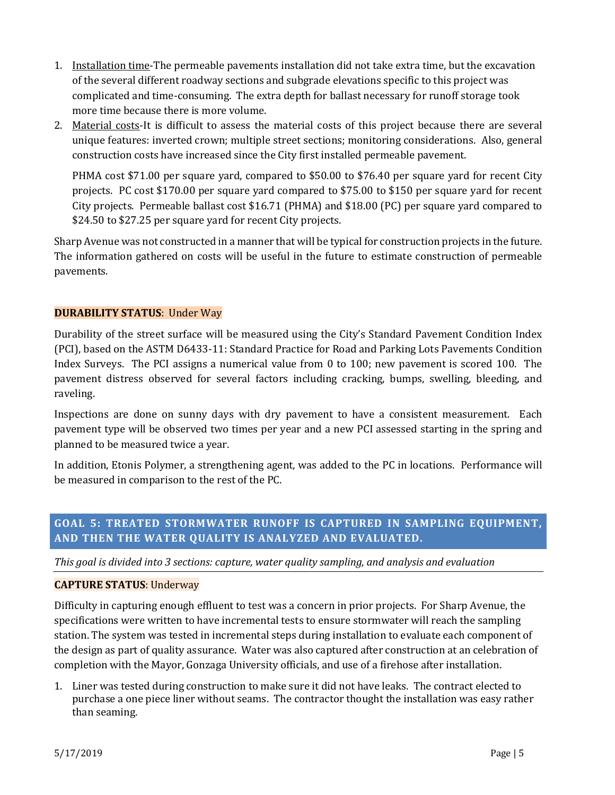- 1. Installation time-The permeable pavements installation did not take extra time, but the excavation of the several different roadway sections and subgrade elevations specific to this project was complicated and time-consuming. The extra depth for ballast necessary for runoff storage took more time because there is more volume.
- 2. Material costs-It is difficult to assess the material costs of this project because there are several unique features: inverted crown; multiple street sections; monitoring considerations. Also, general construction costs have increased since the City first installed permeable pavement.

PHMA cost \$71.00 per square yard, compared to \$50.00 to \$76.40 per square yard for recent City projects. PC cost \$170.00 per square yard compared to \$75.00 to \$150 per square yard for recent City projects. Permeable ballast cost \$16.71 (PHMA) and \$18.00 (PC) per square yard compared to \$24.50 to \$27.25 per square yard for recent City projects.

Sharp Avenue was not constructed in a manner that will be typical for construction projects in the future. The information gathered on costs will be useful in the future to estimate construction of permeable pavements.

# **DURABILITY STATUS**: Under Way

Durability of the street surface will be measured using the City's Standard Pavement Condition Index (PCI), based on the ASTM D6433-11: Standard Practice for Road and Parking Lots Pavements Condition Index Surveys. The PCI assigns a numerical value from 0 to 100; new pavement is scored 100. The pavement distress observed for several factors including cracking, bumps, swelling, bleeding, and raveling.

Inspections are done on sunny days with dry pavement to have a consistent measurement. Each pavement type will be observed two times per year and a new PCI assessed starting in the spring and planned to be measured twice a year.

In addition, Etonis Polymer, a strengthening agent, was added to the PC in locations. Performance will be measured in comparison to the rest of the PC.

# **GOAL 5: TREATED STORMWATER RUNOFF IS CAPTURED IN SAMPLING EQUIPMENT, AND THEN THE WATER QUALITY IS ANALYZED AND EVALUATED.**

*This goal is divided into 3 sections: capture, water quality sampling, and analysis and evaluation*

#### **CAPTURE STATUS**: Underway

Difficulty in capturing enough effluent to test was a concern in prior projects. For Sharp Avenue, the specifications were written to have incremental tests to ensure stormwater will reach the sampling station. The system was tested in incremental steps during installation to evaluate each component of the design as part of quality assurance. Water was also captured after construction at an celebration of completion with the Mayor, Gonzaga University officials, and use of a firehose after installation.

1. Liner was tested during construction to make sure it did not have leaks. The contract elected to purchase a one piece liner without seams. The contractor thought the installation was easy rather than seaming.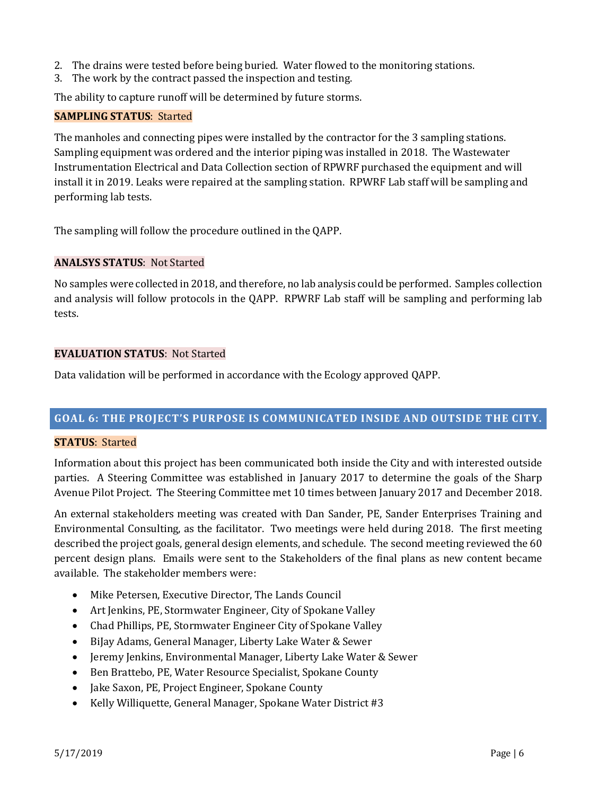- 2. The drains were tested before being buried. Water flowed to the monitoring stations.
- 3. The work by the contract passed the inspection and testing.

The ability to capture runoff will be determined by future storms.

#### **SAMPLING STATUS**: Started

The manholes and connecting pipes were installed by the contractor for the 3 sampling stations. Sampling equipment was ordered and the interior piping was installed in 2018. The Wastewater Instrumentation Electrical and Data Collection section of RPWRF purchased the equipment and will install it in 2019. Leaks were repaired at the sampling station. RPWRF Lab staff will be sampling and performing lab tests.

The sampling will follow the procedure outlined in the QAPP.

#### **ANALSYS STATUS**: Not Started

No samples were collected in 2018, and therefore, no lab analysis could be performed. Samples collection and analysis will follow protocols in the QAPP. RPWRF Lab staff will be sampling and performing lab tests.

#### **EVALUATION STATUS**: Not Started

Data validation will be performed in accordance with the Ecology approved QAPP.

# **GOAL 6: THE PROJECT'S PURPOSE IS COMMUNICATED INSIDE AND OUTSIDE THE CITY.**

#### **STATUS**: Started

Information about this project has been communicated both inside the City and with interested outside parties. A Steering Committee was established in January 2017 to determine the goals of the Sharp Avenue Pilot Project. The Steering Committee met 10 times between January 2017 and December 2018.

An external stakeholders meeting was created with Dan Sander, PE, Sander Enterprises Training and Environmental Consulting, as the facilitator. Two meetings were held during 2018. The first meeting described the project goals, general design elements, and schedule. The second meeting reviewed the 60 percent design plans. Emails were sent to the Stakeholders of the final plans as new content became available. The stakeholder members were:

- Mike Petersen, Executive Director, The Lands Council
- Art Jenkins, PE, Stormwater Engineer, City of Spokane Valley
- Chad Phillips, PE, Stormwater Engineer City of Spokane Valley
- BiJay Adams, General Manager, Liberty Lake Water & Sewer
- Jeremy Jenkins, Environmental Manager, Liberty Lake Water & Sewer
- Ben Brattebo, PE, Water Resource Specialist, Spokane County
- Jake Saxon, PE, Project Engineer, Spokane County
- Kelly Williquette, General Manager, Spokane Water District #3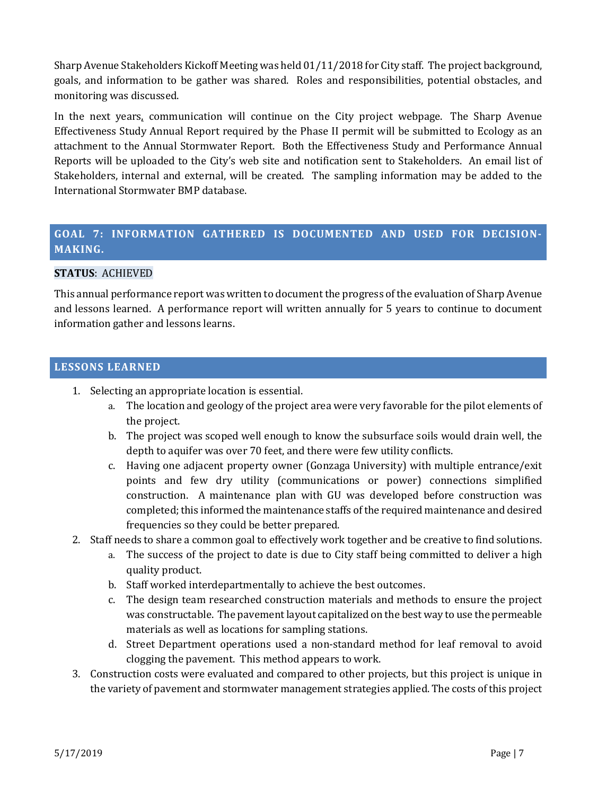Sharp Avenue Stakeholders Kickoff Meeting was held 01/11/2018 for City staff. The project background, goals, and information to be gather was shared. Roles and responsibilities, potential obstacles, and monitoring was discussed.

In the next years, communication will continue on the City project webpage. The Sharp Avenue Effectiveness Study Annual Report required by the Phase II permit will be submitted to Ecology as an attachment to the Annual Stormwater Report. Both the Effectiveness Study and Performance Annual Reports will be uploaded to the City's web site and notification sent to Stakeholders. An email list of Stakeholders, internal and external, will be created. The sampling information may be added to the International Stormwater BMP database.

# **GOAL 7: INFORMATION GATHERED IS DOCUMENTED AND USED FOR DECISION-MAKING.**

# **STATUS**: ACHIEVED

This annual performance report was written to document the progress of the evaluation of Sharp Avenue and lessons learned. A performance report will written annually for 5 years to continue to document information gather and lessons learns.

#### **LESSONS LEARNED**

- 1. Selecting an appropriate location is essential.
	- a. The location and geology of the project area were very favorable for the pilot elements of the project.
	- b. The project was scoped well enough to know the subsurface soils would drain well, the depth to aquifer was over 70 feet, and there were few utility conflicts.
	- c. Having one adjacent property owner (Gonzaga University) with multiple entrance/exit points and few dry utility (communications or power) connections simplified construction. A maintenance plan with GU was developed before construction was completed; this informed the maintenance staffs of the required maintenance and desired frequencies so they could be better prepared.
- 2. Staff needs to share a common goal to effectively work together and be creative to find solutions.
	- a. The success of the project to date is due to City staff being committed to deliver a high quality product.
	- b. Staff worked interdepartmentally to achieve the best outcomes.
	- c. The design team researched construction materials and methods to ensure the project was constructable. The pavement layout capitalized on the best way to use the permeable materials as well as locations for sampling stations.
	- d. Street Department operations used a non-standard method for leaf removal to avoid clogging the pavement. This method appears to work.
- 3. Construction costs were evaluated and compared to other projects, but this project is unique in the variety of pavement and stormwater management strategies applied. The costs of this project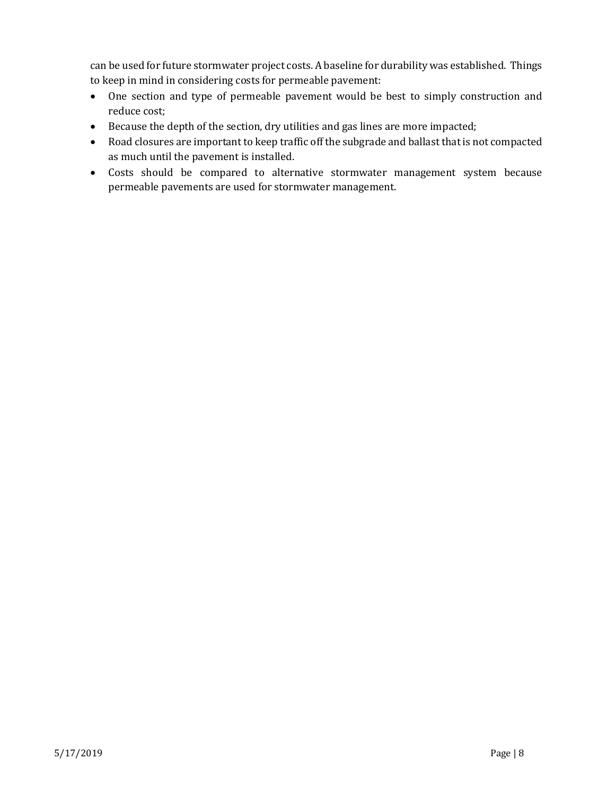can be used for future stormwater project costs. A baseline for durability was established. Things to keep in mind in considering costs for permeable pavement:

- One section and type of permeable pavement would be best to simply construction and reduce cost;
- Because the depth of the section, dry utilities and gas lines are more impacted;
- Road closures are important to keep traffic off the subgrade and ballast that is not compacted as much until the pavement is installed.
- Costs should be compared to alternative stormwater management system because permeable pavements are used for stormwater management.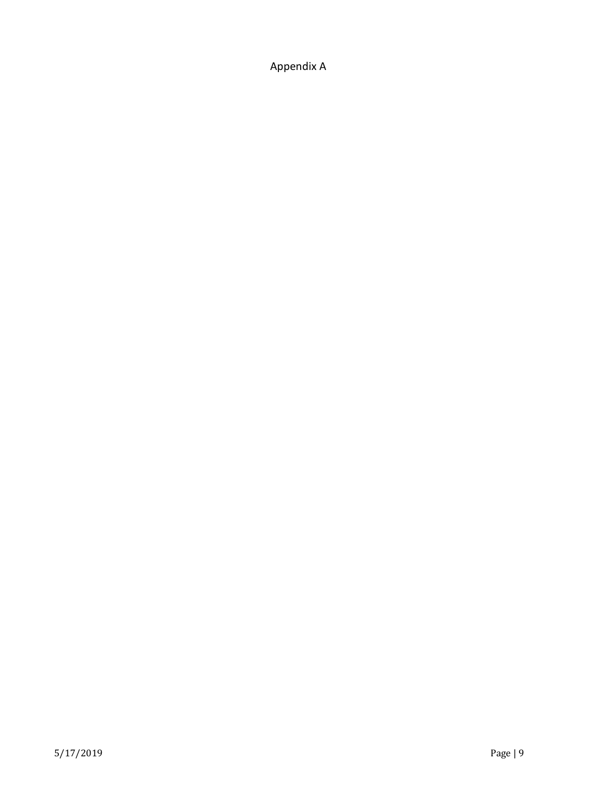Appendix A